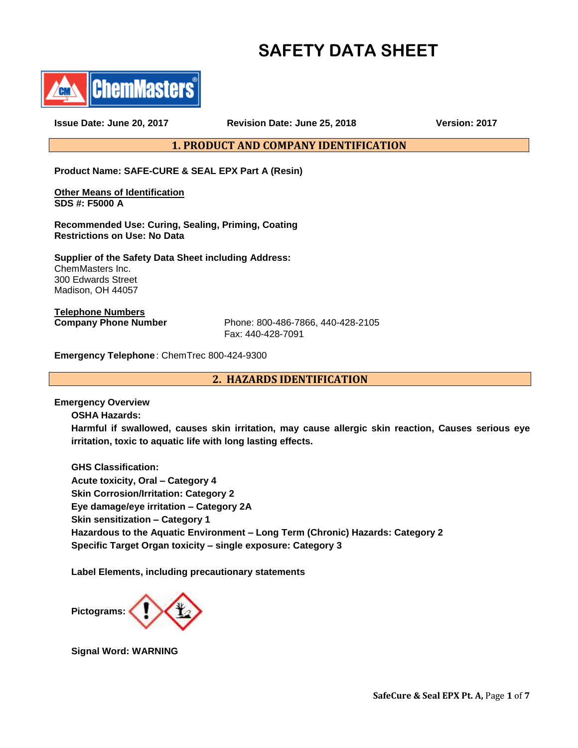# **SAFETY DATA SHEET**



**Issue Date: June 20, 2017 Revision Date: June 25, 2018 Version: 2017**

**1. PRODUCT AND COMPANY IDENTIFICATION**

**Product Name: SAFE-CURE & SEAL EPX Part A (Resin)**

**Other Means of Identification SDS #: F5000 A** 

**Recommended Use: Curing, Sealing, Priming, Coating Restrictions on Use: No Data**

**Supplier of the Safety Data Sheet including Address:** ChemMasters Inc. 300 Edwards Street Madison, OH 44057

**Telephone Numbers**

**Company Phone Number** Phone: 800-486-7866, 440-428-2105 Fax: 440-428-7091

**Emergency Telephone** : ChemTrec 800-424-9300

**2. HAZARDS IDENTIFICATION**

**Emergency Overview**

**OSHA Hazards:**

**Harmful if swallowed, causes skin irritation, may cause allergic skin reaction, Causes serious eye irritation, toxic to aquatic life with long lasting effects.**

**GHS Classification: Acute toxicity, Oral – Category 4 Skin Corrosion/Irritation: Category 2 Eye damage/eye irritation – Category 2A Skin sensitization – Category 1 Hazardous to the Aquatic Environment – Long Term (Chronic) Hazards: Category 2 Specific Target Organ toxicity – single exposure: Category 3**

**Label Elements, including precautionary statements** 



**Signal Word: WARNING**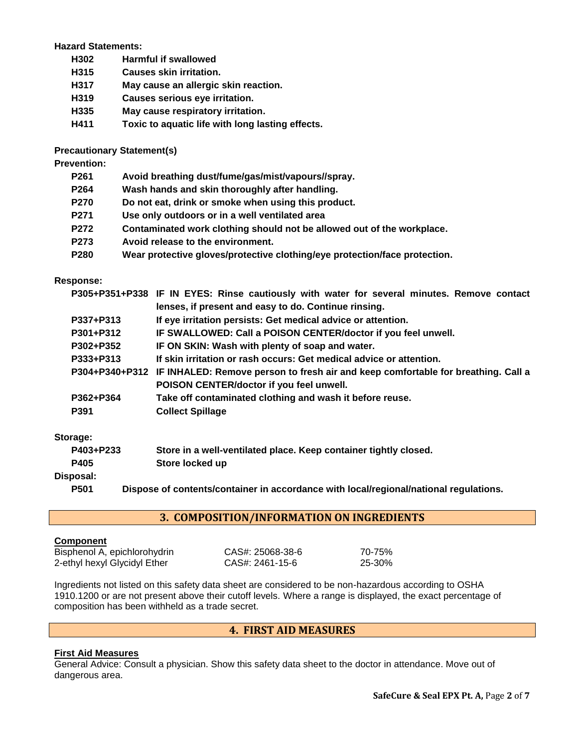## **Hazard Statements:**

- **H302 Harmful if swallowed**
- **H315 Causes skin irritation.**
- **H317 May cause an allergic skin reaction.**
- **H319 Causes serious eye irritation.**
- **H335 May cause respiratory irritation.**
- **H411 Toxic to aquatic life with long lasting effects.**

# **Precautionary Statement(s)**

**Prevention:**

| P261 | Avoid breathing dust/fume/gas/mist/vapours//spray. |
|------|----------------------------------------------------|
|------|----------------------------------------------------|

- **P264 Wash hands and skin thoroughly after handling.**
- **P270 Do not eat, drink or smoke when using this product.**
- **P271 Use only outdoors or in a well ventilated area**
- **P272 Contaminated work clothing should not be allowed out of the workplace.**
- **P273 Avoid release to the environment.**
- **P280 Wear protective gloves/protective clothing/eye protection/face protection.**

## **Response:**

| P304+P340+P312 IF INHALED: Remove person to fresh air and keep comfortable for breathing. Call a |
|--------------------------------------------------------------------------------------------------|
|                                                                                                  |
|                                                                                                  |
|                                                                                                  |
|                                                                                                  |

# **Storage:**

| Storage.  |                                                                  |  |  |  |
|-----------|------------------------------------------------------------------|--|--|--|
| P403+P233 | Store in a well-ventilated place. Keep container tightly closed. |  |  |  |
| P405      | Store locked up                                                  |  |  |  |
| Disposal: |                                                                  |  |  |  |
|           | .                                                                |  |  |  |

**P501 Dispose of contents/container in accordance with local/regional/national regulations.**

# **3. COMPOSITION/INFORMATION ON INGREDIENTS**

## **Component**

Bisphenol A, epichlorohydrin CAS#: 25068-38-6 70-75% 2-ethyl hexyl Glycidyl Ether CAS#: 2461-15-6 25-30%

Ingredients not listed on this safety data sheet are considered to be non-hazardous according to OSHA 1910.1200 or are not present above their cutoff levels. Where a range is displayed, the exact percentage of composition has been withheld as a trade secret.

# **4. FIRST AID MEASURES**

## **First Aid Measures**

General Advice: Consult a physician. Show this safety data sheet to the doctor in attendance. Move out of dangerous area.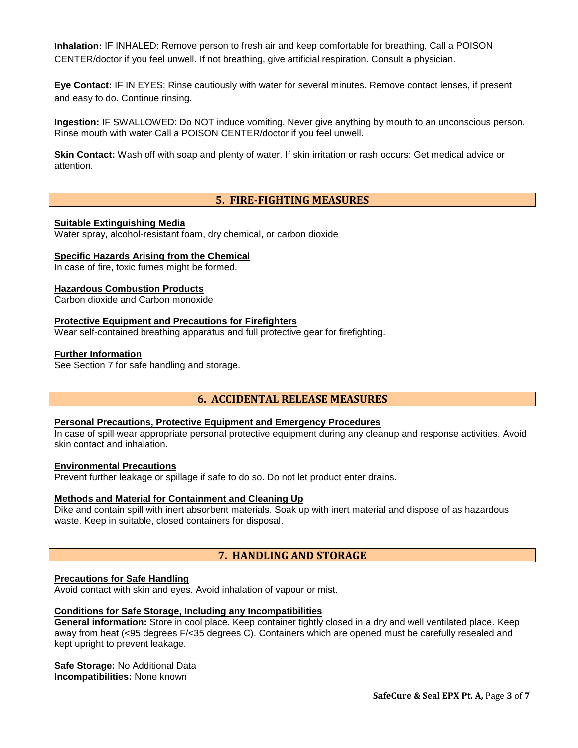**Inhalation:** IF INHALED: Remove person to fresh air and keep comfortable for breathing. Call a POISON CENTER/doctor if you feel unwell. If not breathing, give artificial respiration. Consult a physician.

**Eye Contact:** IF IN EYES: Rinse cautiously with water for several minutes. Remove contact lenses, if present and easy to do. Continue rinsing.

**Ingestion:** IF SWALLOWED: Do NOT induce vomiting. Never give anything by mouth to an unconscious person. Rinse mouth with water Call a POISON CENTER/doctor if you feel unwell.

**Skin Contact:** Wash off with soap and plenty of water. If skin irritation or rash occurs: Get medical advice or attention.

## **5. FIRE-FIGHTING MEASURES**

### **Suitable Extinguishing Media**

Water spray, alcohol-resistant foam, dry chemical, or carbon dioxide

#### **Specific Hazards Arising from the Chemical**

In case of fire, toxic fumes might be formed.

#### **Hazardous Combustion Products**

Carbon dioxide and Carbon monoxide

#### **Protective Equipment and Precautions for Firefighters**

Wear self-contained breathing apparatus and full protective gear for firefighting.

#### **Further Information**

See Section 7 for safe handling and storage.

## **6. ACCIDENTAL RELEASE MEASURES**

#### **Personal Precautions, Protective Equipment and Emergency Procedures**

In case of spill wear appropriate personal protective equipment during any cleanup and response activities. Avoid skin contact and inhalation.

#### **Environmental Precautions**

Prevent further leakage or spillage if safe to do so. Do not let product enter drains.

#### **Methods and Material for Containment and Cleaning Up**

Dike and contain spill with inert absorbent materials. Soak up with inert material and dispose of as hazardous waste. Keep in suitable, closed containers for disposal.

## **7. HANDLING AND STORAGE**

## **Precautions for Safe Handling**

Avoid contact with skin and eyes. Avoid inhalation of vapour or mist.

## **Conditions for Safe Storage, Including any Incompatibilities**

**General information:** Store in cool place. Keep container tightly closed in a dry and well ventilated place. Keep away from heat (<95 degrees F/<35 degrees C). Containers which are opened must be carefully resealed and kept upright to prevent leakage.

**Safe Storage:** No Additional Data **Incompatibilities:** None known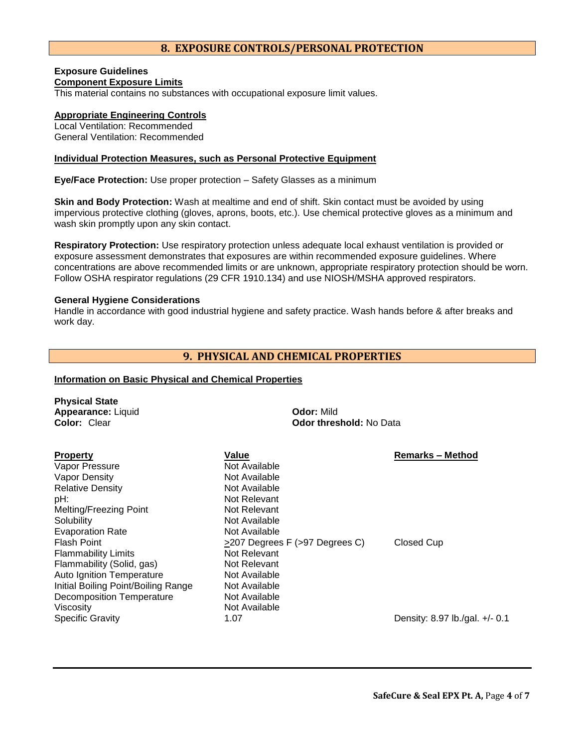# **8. EXPOSURE CONTROLS/PERSONAL PROTECTION**

## **Exposure Guidelines Component Exposure Limits**

This material contains no substances with occupational exposure limit values.

## **Appropriate Engineering Controls**

Local Ventilation: Recommended General Ventilation: Recommended

## **Individual Protection Measures, such as Personal Protective Equipment**

**Eye/Face Protection:** Use proper protection – Safety Glasses as a minimum

**Skin and Body Protection:** Wash at mealtime and end of shift. Skin contact must be avoided by using impervious protective clothing (gloves, aprons, boots, etc.). Use chemical protective gloves as a minimum and wash skin promptly upon any skin contact.

**Respiratory Protection:** Use respiratory protection unless adequate local exhaust ventilation is provided or exposure assessment demonstrates that exposures are within recommended exposure guidelines. Where concentrations are above recommended limits or are unknown, appropriate respiratory protection should be worn. Follow OSHA respirator regulations (29 CFR 1910.134) and use NIOSH/MSHA approved respirators.

## **General Hygiene Considerations**

**Physical State**

Handle in accordance with good industrial hygiene and safety practice. Wash hands before & after breaks and work day.

# **9. PHYSICAL AND CHEMICAL PROPERTIES**

## **Information on Basic Physical and Chemical Properties**

| <b>Physical State</b><br>Appearance: Liquid<br>Color: Clear | <b>Odor: Mild</b>              | Odor threshold: No Data        |  |  |
|-------------------------------------------------------------|--------------------------------|--------------------------------|--|--|
| <b>Property</b><br>Vapor Pressure                           | Value<br>Not Available         | <b>Remarks – Method</b>        |  |  |
| Vapor Density                                               | Not Available                  |                                |  |  |
| <b>Relative Density</b><br>pH:                              | Not Available<br>Not Relevant  |                                |  |  |
| Melting/Freezing Point                                      | Not Relevant                   |                                |  |  |
| Solubility                                                  | Not Available                  |                                |  |  |
| <b>Evaporation Rate</b>                                     | Not Available                  |                                |  |  |
| <b>Flash Point</b>                                          | >207 Degrees F (>97 Degrees C) | Closed Cup                     |  |  |
| <b>Flammability Limits</b>                                  | Not Relevant                   |                                |  |  |
| Flammability (Solid, gas)                                   | Not Relevant                   |                                |  |  |
| <b>Auto Ignition Temperature</b>                            | Not Available                  |                                |  |  |
| Initial Boiling Point/Boiling Range                         | Not Available                  |                                |  |  |
| Decomposition Temperature                                   | Not Available                  |                                |  |  |
| Viscosity                                                   | Not Available                  |                                |  |  |
| <b>Specific Gravity</b>                                     | 1.07                           | Density: 8.97 lb./gal. +/- 0.1 |  |  |
|                                                             |                                |                                |  |  |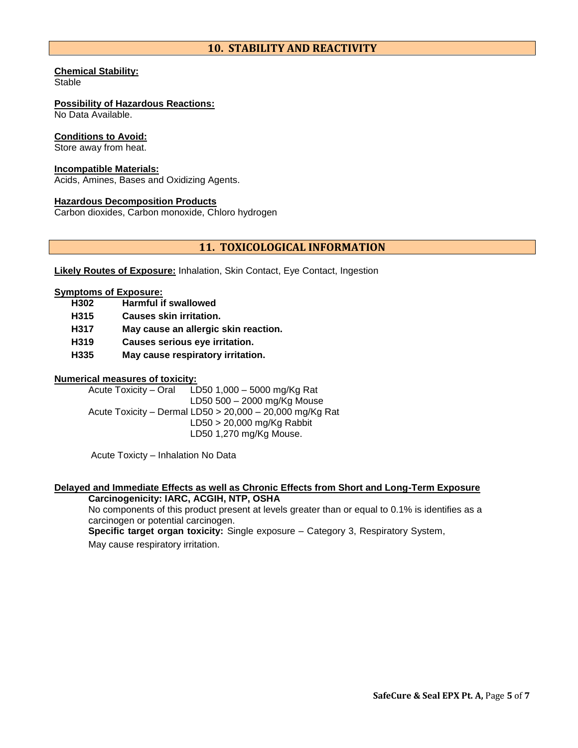# **10. STABILITY AND REACTIVITY**

## **Chemical Stability:**

Stable

# **Possibility of Hazardous Reactions:**

No Data Available.

## **Conditions to Avoid:**

Store away from heat.

## **Incompatible Materials:**

Acids, Amines, Bases and Oxidizing Agents.

## **Hazardous Decomposition Products**

Carbon dioxides, Carbon monoxide, Chloro hydrogen

# **11. TOXICOLOGICAL INFORMATION**

**Likely Routes of Exposure:** Inhalation, Skin Contact, Eye Contact, Ingestion

## **Symptoms of Exposure:**

- **H302 Harmful if swallowed**
- **H315 Causes skin irritation.**
- **H317 May cause an allergic skin reaction.**
- **H319 Causes serious eye irritation.**
- **H335 May cause respiratory irritation.**

## **Numerical measures of toxicity:**

Acute Toxicity – Oral LD50 1,000 – 5000 mg/Kg Rat LD50 500 – 2000 mg/Kg Mouse Acute Toxicity – Dermal LD50 > 20,000 – 20,000 mg/Kg Rat LD50 > 20,000 mg/Kg Rabbit LD50 1,270 mg/Kg Mouse.

Acute Toxicty – Inhalation No Data

# **Delayed and Immediate Effects as well as Chronic Effects from Short and Long-Term Exposure**

**Carcinogenicity: IARC, ACGIH, NTP, OSHA** No components of this product present at levels greater than or equal to 0.1% is identifies as a carcinogen or potential carcinogen. **Specific target organ toxicity:** Single exposure – Category 3, Respiratory System, May cause respiratory irritation.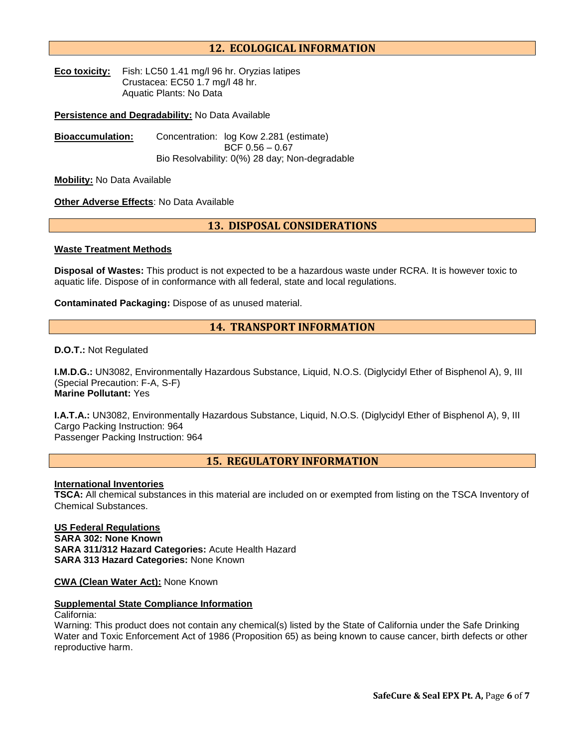# **12. ECOLOGICAL INFORMATION**

**Eco toxicity:** Fish: LC50 1.41 mg/l 96 hr. Oryzias latipes Crustacea: EC50 1.7 mg/l 48 hr. Aquatic Plants: No Data

**Persistence and Degradability:** No Data Available

**Bioaccumulation:** Concentration: log Kow 2.281 (estimate) BCF 0.56 – 0.67 Bio Resolvability: 0(%) 28 day; Non-degradable

**Mobility:** No Data Available

**Other Adverse Effects**: No Data Available

# **13. DISPOSAL CONSIDERATIONS**

#### **Waste Treatment Methods**

**Disposal of Wastes:** This product is not expected to be a hazardous waste under RCRA. It is however toxic to aquatic life. Dispose of in conformance with all federal, state and local regulations.

**Contaminated Packaging:** Dispose of as unused material.

## **14. TRANSPORT INFORMATION**

#### **D.O.T.:** Not Regulated

**I.M.D.G.:** UN3082, Environmentally Hazardous Substance, Liquid, N.O.S. (Diglycidyl Ether of Bisphenol A), 9, III (Special Precaution: F-A, S-F) **Marine Pollutant:** Yes

**I.A.T.A.:** UN3082, Environmentally Hazardous Substance, Liquid, N.O.S. (Diglycidyl Ether of Bisphenol A), 9, III Cargo Packing Instruction: 964 Passenger Packing Instruction: 964

## **15. REGULATORY INFORMATION**

## **International Inventories**

**TSCA:** All chemical substances in this material are included on or exempted from listing on the TSCA Inventory of Chemical Substances.

**US Federal Regulations SARA 302: None Known SARA 311/312 Hazard Categories:** Acute Health Hazard **SARA 313 Hazard Categories:** None Known

**CWA (Clean Water Act):** None Known

## **Supplemental State Compliance Information**

#### California:

Warning: This product does not contain any chemical(s) listed by the State of California under the Safe Drinking Water and Toxic Enforcement Act of 1986 (Proposition 65) as being known to cause cancer, birth defects or other reproductive harm.